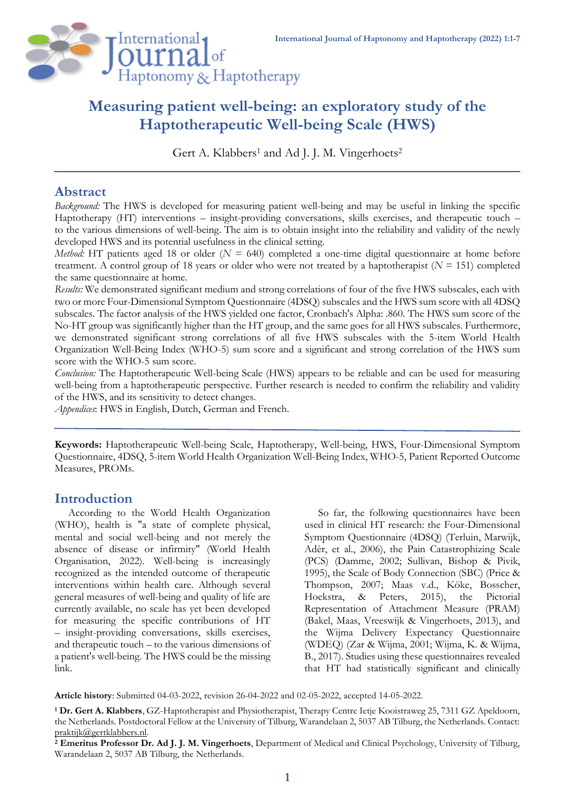

# **Measuring patient well-being: an exploratory study of the Haptotherapeutic Well-being Scale (HWS)**

Gert A. Klabbers<sup>1</sup> and Ad J. J. M. Vingerhoets<sup>2</sup>

# **Abstract**

*Background:* The HWS is developed for measuring patient well-being and may be useful in linking the specific Haptotherapy (HT) interventions – insight-providing conversations, skills exercises, and therapeutic touch – to the various dimensions of well-being. The aim is to obtain insight into the reliability and validity of the newly developed HWS and its potential usefulness in the clinical setting.

*Method:* HT patients aged 18 or older  $(N = 640)$  completed a one-time digital questionnaire at home before treatment. A control group of 18 years or older who were not treated by a haptotherapist (*N* = 151) completed the same questionnaire at home.

*Results:* We demonstrated significant medium and strong correlations of four of the five HWS subscales, each with two or more Four-Dimensional Symptom Questionnaire (4DSQ) subscales and the HWS sum score with all 4DSQ subscales. The factor analysis of the HWS yielded one factor, Cronbach's Alpha: .860. The HWS sum score of the No-HT group was significantly higher than the HT group, and the same goes for all HWS subscales. Furthermore, we demonstrated significant strong correlations of all five HWS subscales with the 5-item World Health Organization Well-Being Index (WHO-5) sum score and a significant and strong correlation of the HWS sum score with the WHO-5 sum score.

*Conclusion:* The Haptotherapeutic Well-being Scale (HWS) appears to be reliable and can be used for measuring well-being from a haptotherapeutic perspective. Further research is needed to confirm the reliability and validity of the HWS, and its sensitivity to detect changes.

*Appendices*: HWS in English, Dutch, German and French.

**Keywords:** Haptotherapeutic Well-being Scale, Haptotherapy, Well-being, HWS, Four-Dimensional Symptom Questionnaire, 4DSQ, 5-item World Health Organization Well-Being Index, WHO-5, Patient Reported Outcome Measures, PROMs.

# **Introduction**

According to the World Health Organization (WHO), health is "a state of complete physical, mental and social well-being and not merely the absence of disease or infirmity" (World Health Organisation, 2022). Well-being is increasingly recognized as the intended outcome of therapeutic interventions within health care. Although several general measures of well-being and quality of life are currently available, no scale has yet been developed for measuring the specific contributions of HT – insight-providing conversations, skills exercises, and therapeutic touch – to the various dimensions of a patient's well-being. The HWS could be the missing link.

So far, the following questionnaires have been used in clinical HT research: the Four-Dimensional Symptom Questionnaire (4DSQ) (Terluin, Marwijk, Adèr, et al., 2006), the Pain Catastrophizing Scale (PCS) (Damme, 2002; Sullivan, Bishop & Pivik, 1995), the Scale of Body Connection (SBC) (Price & Thompson, 2007; Maas v.d., Köke, Bosscher, Hoekstra, & Peters, 2015), the Pictorial Representation of Attachment Measure (PRAM) (Bakel, Maas, Vreeswijk & Vingerhoets, 2013), and the Wijma Delivery Expectancy Questionnaire (WDEQ) (Zar & Wijma, 2001; Wijma, K. & Wijma, B., 2017). Studies using these questionnaires revealed that HT had statistically significant and clinically

**Article history**: Submitted 04-03-2022, revision 26-04-2022 and 02-05-2022, accepted 14-05-2022.

**<sup>1</sup> Dr. Gert A. Klabbers**, GZ-Haptotherapist and Physiotherapist, Therapy Centre Ietje Kooistraweg 25, 7311 GZ Apeldoorn, the Netherlands. Postdoctoral Fellow at the University of Tilburg, Warandelaan 2, 5037 AB Tilburg, the Netherlands. Contact: [praktijk@gertklabbers.nl.](mailto:praktijk@gertklabbers.nl)

**<sup>2</sup> Emeritus Professor Dr. Ad J. J. M. Vingerhoets**, Department of Medical and Clinical Psychology, University of Tilburg, Warandelaan 2, 5037 AB Tilburg, the Netherlands.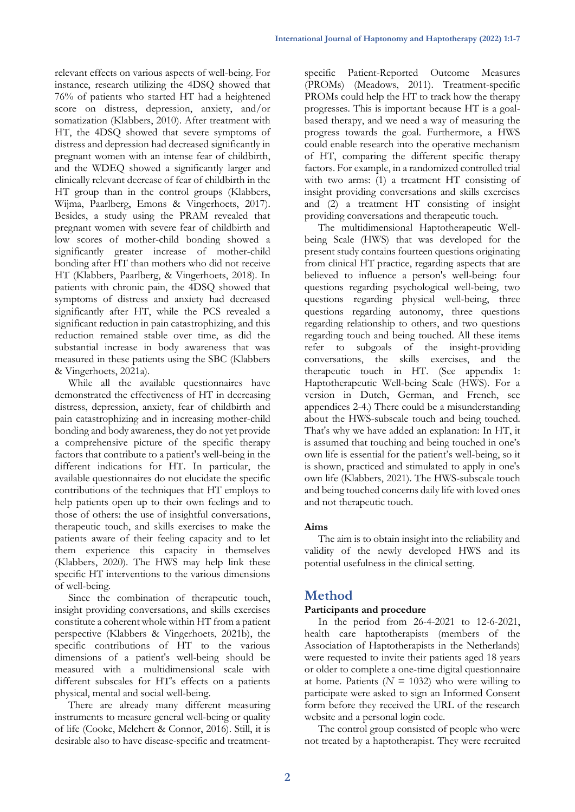relevant effects on various aspects of well-being. For instance, research utilizing the 4DSQ showed that 76% of patients who started HT had a heightened score on distress, depression, anxiety, and/or somatization (Klabbers, 2010). After treatment with HT, the 4DSQ showed that severe symptoms of distress and depression had decreased significantly in pregnant women with an intense fear of childbirth, and the WDEQ showed a significantly larger and clinically relevant decrease of fear of childbirth in the HT group than in the control groups (Klabbers, Wijma, Paarlberg, Emons & Vingerhoets, 2017). Besides, a study using the PRAM revealed that pregnant women with severe fear of childbirth and low scores of mother-child bonding showed a significantly greater increase of mother-child bonding after HT than mothers who did not receive HT (Klabbers, Paarlberg, & Vingerhoets, 2018). In patients with chronic pain, the 4DSQ showed that symptoms of distress and anxiety had decreased significantly after HT, while the PCS revealed a significant reduction in pain catastrophizing, and this reduction remained stable over time, as did the substantial increase in body awareness that was measured in these patients using the SBC (Klabbers & Vingerhoets, 2021a).

While all the available questionnaires have demonstrated the effectiveness of HT in decreasing distress, depression, anxiety, fear of childbirth and pain catastrophizing and in increasing mother-child bonding and body awareness, they do not yet provide a comprehensive picture of the specific therapy factors that contribute to a patient's well-being in the different indications for HT. In particular, the available questionnaires do not elucidate the specific contributions of the techniques that HT employs to help patients open up to their own feelings and to those of others: the use of insightful conversations, therapeutic touch, and skills exercises to make the patients aware of their feeling capacity and to let them experience this capacity in themselves (Klabbers, 2020). The HWS may help link these specific HT interventions to the various dimensions of well-being.

Since the combination of therapeutic touch, insight providing conversations, and skills exercises constitute a coherent whole within HT from a patient perspective (Klabbers & Vingerhoets, 2021b), the specific contributions of HT to the various dimensions of a patient's well-being should be measured with a multidimensional scale with different subscales for HT's effects on a patients physical, mental and social well-being.

There are already many different measuring instruments to measure general well-being or quality of life (Cooke, Melchert & Connor, 2016). Still, it is desirable also to have disease-specific and treatmentspecific Patient-Reported Outcome Measures (PROMs) (Meadows, 2011). Treatment-specific PROMs could help the HT to track how the therapy progresses. This is important because HT is a goalbased therapy, and we need a way of measuring the progress towards the goal. Furthermore, a HWS could enable research into the operative mechanism of HT, comparing the different specific therapy factors. For example, in a randomized controlled trial with two arms: (1) a treatment HT consisting of insight providing conversations and skills exercises and (2) a treatment HT consisting of insight providing conversations and therapeutic touch.

The multidimensional Haptotherapeutic Wellbeing Scale (HWS) that was developed for the present study contains fourteen questions originating from clinical HT practice, regarding aspects that are believed to influence a person's well-being: four questions regarding psychological well-being, two questions regarding physical well-being, three questions regarding autonomy, three questions regarding relationship to others, and two questions regarding touch and being touched. All these items refer to subgoals of the insight-providing conversations, the skills exercises, and the therapeutic touch in HT. (See appendix 1: Haptotherapeutic Well-being Scale (HWS). For a version in Dutch, German, and French, see appendices 2-4.) There could be a misunderstanding about the HWS-subscale touch and being touched. That's why we have added an explanation: In HT, it is assumed that touching and being touched in one's own life is essential for the patient's well-being, so it is shown, practiced and stimulated to apply in one's own life (Klabbers, 2021). The HWS-subscale touch and being touched concerns daily life with loved ones and not therapeutic touch.

### **Aims**

The aim is to obtain insight into the reliability and validity of the newly developed HWS and its potential usefulness in the clinical setting.

# **Method**

### **Participants and procedure**

In the period from 26-4-2021 to 12-6-2021, health care haptotherapists (members of the Association of Haptotherapists in the Netherlands) were requested to invite their patients aged 18 years or older to complete a one-time digital questionnaire at home. Patients  $(N = 1032)$  who were willing to participate were asked to sign an Informed Consent form before they received the URL of the research website and a personal login code.

The control group consisted of people who were not treated by a haptotherapist. They were recruited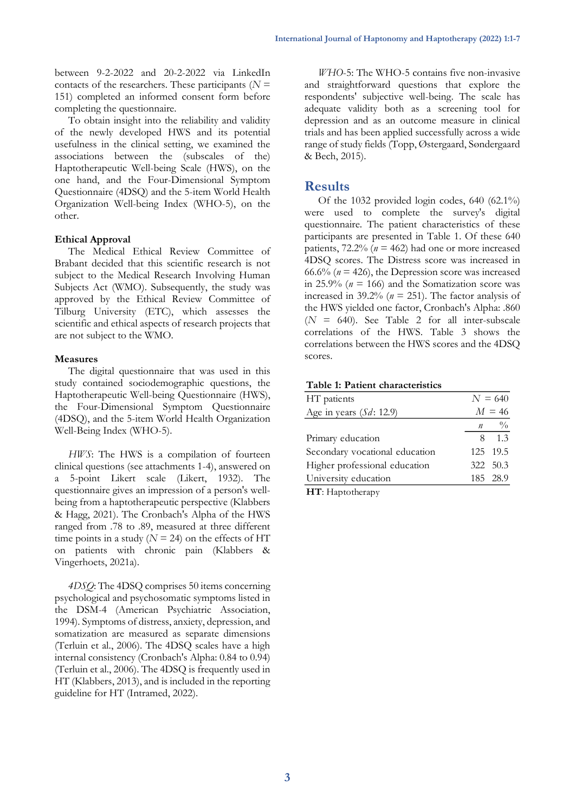between 9-2-2022 and 20-2-2022 via LinkedIn contacts of the researchers. These participants ( $N =$ 151) completed an informed consent form before completing the questionnaire.

To obtain insight into the reliability and validity of the newly developed HWS and its potential usefulness in the clinical setting, we examined the associations between the (subscales of the) Haptotherapeutic Well-being Scale (HWS), on the one hand, and the Four-Dimensional Symptom Questionnaire (4DSQ) and the 5-item World Health Organization Well-being Index (WHO-5), on the other.

### **Ethical Approval**

The Medical Ethical Review Committee of Brabant decided that this scientific research is not subject to the Medical Research Involving Human Subjects Act (WMO). Subsequently, the study was approved by the Ethical Review Committee of Tilburg University (ETC), which assesses the scientific and ethical aspects of research projects that are not subject to the WMO.

#### **Measures**

The digital questionnaire that was used in this study contained sociodemographic questions, the Haptotherapeutic Well-being Questionnaire (HWS), the Four-Dimensional Symptom Questionnaire (4DSQ), and the 5-item World Health Organization Well-Being Index (WHO-5).

*HWS*: The HWS is a compilation of fourteen clinical questions (see attachments 1-4), answered on 5-point Likert scale (Likert, 1932). The questionnaire gives an impression of a person's wellbeing from a haptotherapeutic perspective (Klabbers & Hagg, 2021). The Cronbach's Alpha of the HWS ranged from .78 to .89, measured at three different time points in a study  $(N = 24)$  on the effects of HT on patients with chronic pain (Klabbers & Vingerhoets, 2021a).

*4DSQ*: The 4DSQ comprises 50 items concerning psychological and psychosomatic symptoms listed in the DSM-4 (American Psychiatric Association, 1994). Symptoms of distress, anxiety, depression, and somatization are measured as separate dimensions (Terluin et al., 2006). The 4DSQ scales have a high internal consistency (Cronbach's Alpha: 0.84 to 0.94) (Terluin et al., 2006). The 4DSQ is frequently used in HT (Klabbers, 2013), and is included in the reporting guideline for HT (Intramed, 2022).

*WHO*-5: The WHO-5 contains five non-invasive and straightforward questions that explore the respondents' subjective well-being. The scale has adequate validity both as a screening tool for depression and as an outcome measure in clinical trials and has been applied successfully across a wide range of study fields (Topp, Østergaard, Søndergaard & Bech, 2015).

# **Results**

Of the 1032 provided login codes, 640 (62.1%) were used to complete the survey's digital questionnaire. The patient characteristics of these participants are presented in Table 1. Of these 640 patients,  $72.2\%$  ( $n = 462$ ) had one or more increased 4DSQ scores. The Distress score was increased in  $66.6\%$  ( $n = 426$ ), the Depression score was increased in 25.9% ( $n = 166$ ) and the Somatization score was increased in 39.2% (*n* = 251). The factor analysis of the HWS yielded one factor, Cronbach's Alpha: .860 (*N* = 640). See Table 2 for all inter-subscale correlations of the HWS. Table 3 shows the correlations between the HWS scores and the 4DSQ scores.

#### **Table 1: Patient characteristics**

| HT patients                    |              | $N = 640$   |
|--------------------------------|--------------|-------------|
| Age in years $(Sd: 12.9)$      |              | $M = 46$    |
|                                | $\mathbf{n}$ | $^{0}/_{0}$ |
| Primary education              |              | $8 \t1.3$   |
| Secondary vocational education |              | 125 19.5    |
| Higher professional education  |              | 322 50.3    |
| University education           |              | 185 28.9    |
|                                |              |             |

**HT**: Haptotherapy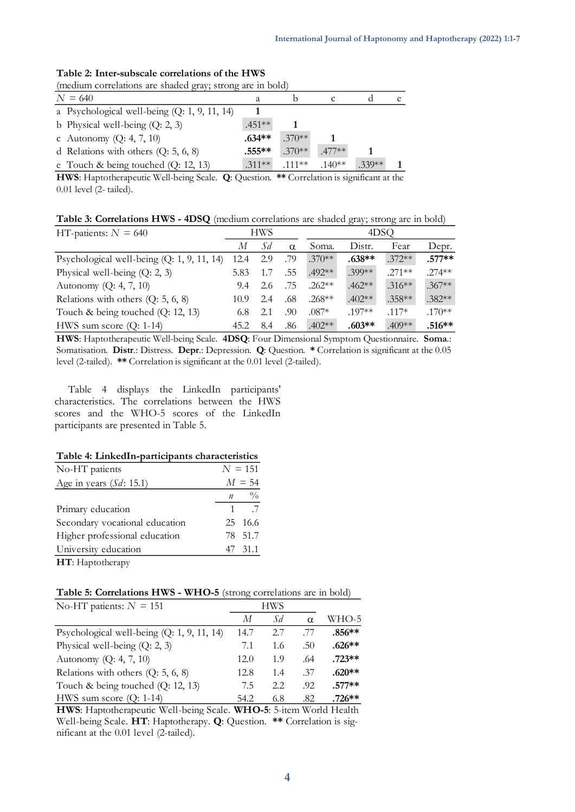| (medium correlations are shaded gray; strong are in bold) |  |           |          |          |         |    |  |
|-----------------------------------------------------------|--|-----------|----------|----------|---------|----|--|
| $N = 640$                                                 |  |           |          |          |         | e. |  |
| a Psychological well-being $(Q: 1, 9, 11, 14)$            |  |           |          |          |         |    |  |
| b Physical well-being $(Q: 2, 3)$                         |  | $.451**$  |          |          |         |    |  |
| c Autonomy $(Q: 4, 7, 10)$                                |  | $.634**$  | $.370**$ |          |         |    |  |
| d Relations with others $(Q: 5, 6, 8)$                    |  | $.555***$ | $.370**$ | $.477**$ |         |    |  |
| e Touch & being touched $(Q: 12, 13)$                     |  | $.311**$  | 111**    | $.140**$ | $330**$ |    |  |

# **Table 2: Inter-subscale correlations of the HWS**

**HWS**: Haptotherapeutic Well-being Scale. **Q**: Question. **\*\*** Correlation is significant at the 0.01 level (2- tailed).

**Table 3: Correlations HWS - 4DSQ** (medium correlations are shaded gray; strong are in bold)

| HT-patients: $N = 640$                       |      | <b>HWS</b> |          |          | 4DSO     |           |           |  |
|----------------------------------------------|------|------------|----------|----------|----------|-----------|-----------|--|
|                                              | М    | Sd         | $\alpha$ | Soma.    | Distr.   | Fear      | Depr.     |  |
| Psychological well-being $(Q: 1, 9, 11, 14)$ | 12.4 | 2.9        | .79      | $.370**$ | $.638**$ | $.372**$  | $.577**$  |  |
| Physical well-being $(Q: 2, 3)$              | 5.83 |            | .55      | .492**   | .399**   | $.271**$  | $.274**$  |  |
| Autonomy $(Q: 4, 7, 10)$                     | 9.4  | 2.6        | .75      | $.262**$ | $.462**$ | $.316***$ | $.367**$  |  |
| Relations with others $(Q: 5, 6, 8)$         | 10.9 | 2.4        | .68      | $.268**$ | $.402**$ | $.358**$  | $.382**$  |  |
| Touch & being touched $(Q: 12, 13)$          | 6.8  | 2.1        | .90      | $.087*$  | $.197**$ | $.117*$   | $.170***$ |  |
| HWS sum score $(Q: 1-14)$                    | 45.2 | 8.4        | .86      | $.402**$ | $.603**$ | $.409**$  | .516**    |  |

**HWS**: Haptotherapeutic Well-being Scale. **4DSQ**: Four Dimensional Symptom Questionnaire. **Soma**.: Somatisation. **Distr**.: Distress. **Depr**.: Depression. **Q**: Question. **\*** Correlation is significant at the 0.05 level (2-tailed). **\*\*** Correlation is significant at the 0.01 level (2-tailed).

Table 4 displays the LinkedIn participants' characteristics. The correlations between the HWS scores and the WHO-5 scores of the LinkedIn participants are presented in Table 5.

#### **Table 4: LinkedIn-participants characteristics**

| No-HT patients                 |   | $N = 151$                   |
|--------------------------------|---|-----------------------------|
| Age in years $(Sd: 15.1)$      |   | $M = 54$                    |
|                                |   | $n \frac{0}{0}$             |
| Primary education              | 1 | $\overline{\phantom{0}}$ .7 |
| Secondary vocational education |   | 25 16.6                     |
| Higher professional education  |   | 78 51.7                     |
| University education           |   | 47 31.1                     |
| HT: Haptotherapy               |   |                             |

**Table 5: Correlations HWS - WHO-5** (strong correlations are in bold)

| No-HT patients: $N = 151$                    |      | HWS  |          |          |
|----------------------------------------------|------|------|----------|----------|
|                                              | М    | Sd.  | $\alpha$ | WHO-5    |
| Psychological well-being $(Q: 1, 9, 11, 14)$ | 14.7 | 2.7  | -77      | $.856**$ |
| Physical well-being $(Q: 2, 3)$              | 7.1  | 1.6  | .50      | $.626**$ |
| Autonomy $(Q: 4, 7, 10)$                     | 12.0 | 1.9  | .64      | $.723**$ |
| Relations with others $(Q: 5, 6, 8)$         | 12.8 | 1.4  | .37      | $.620**$ |
| Touch & being touched $(Q: 12, 13)$          | 7.5  | 2.2. | .92      | $.577**$ |
| HWS sum score $(Q: 1-14)$                    | 54.2 | 6.8  | .82      | $.726**$ |

Well-being Scale. **HT**: Haptotherapy. **Q**: Question. **\*\*** Correlation is sig-**HWS**: Haptotherapeutic Well-being Scale. **WHO-5**: 5-item World Health nificant at the 0.01 level (2-tailed).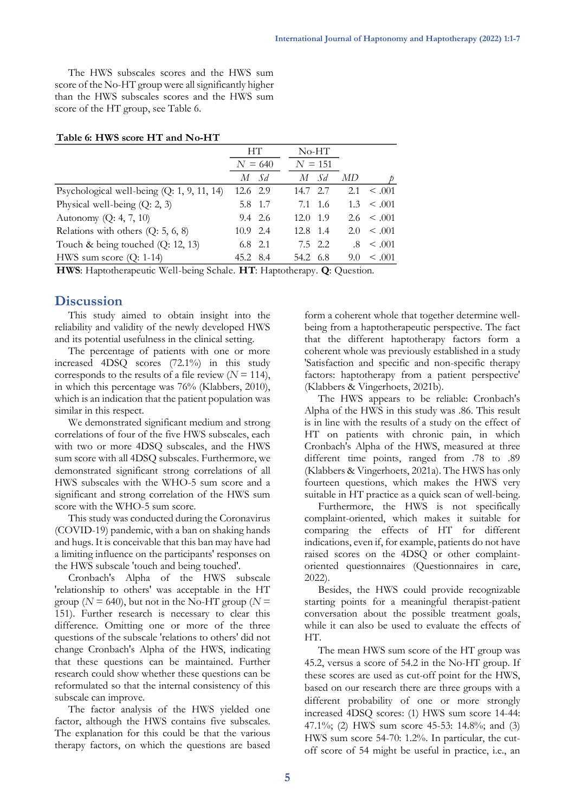The HWS subscales scores and the HWS sum score of the No-HT group were all significantly higher than the HWS subscales scores and the HWS sum score of the HT group, see Table 6.

#### **Table 6: HWS score HT and No-HT**

|                                                                      |            | HТ        |                               | $No-HT$ |     |             |
|----------------------------------------------------------------------|------------|-----------|-------------------------------|---------|-----|-------------|
|                                                                      |            | $N = 640$ | $N = 151$                     |         |     |             |
|                                                                      | М          | $S_d$     | М                             | Sd      | МD  |             |
| Psychological well-being $(Q: 1, 9, 11, 14)$                         | 12.6 2.9   |           | 14.7 2.7                      |         | 2.1 | $\leq .001$ |
| Physical well-being $(Q: 2, 3)$                                      |            | 5.8 1.7   | 7.1 1.6                       |         | 1.3 | $\leq .001$ |
| Autonomy $(Q: 4, 7, 10)$                                             |            | 9.4 2.6   | 12.0                          | - 1.9   | 2.6 | $\leq .001$ |
| Relations with others $(Q: 5, 6, 8)$                                 | $10.9$ 2.4 |           | 12.8 1.4                      |         | 2.0 | $\leq .001$ |
| Touch & being touched $(Q: 12, 13)$                                  | $6.8$ 2.1  |           |                               | 7.5 2.2 | .8  | $\leq .001$ |
| HWS sum score $(Q: 1-14)$                                            | 45.2 8.4   |           | 54.2 6.8                      |         | 9.0 | $\leq .001$ |
| <b>TTWIO</b> IT $\qquad$ 1 $\qquad$ $\qquad$ 11 1 $\qquad$<br>$\sim$ | TT/T TT    |           | $\sim$ 1 $\sim$ $\sim$ $\sim$ |         |     |             |

**HWS**: Haptotherapeutic Well-being Schale. **HT**: Haptotherapy. **Q**: Question.

## **Discussion**

This study aimed to obtain insight into the reliability and validity of the newly developed HWS and its potential usefulness in the clinical setting.

The percentage of patients with one or more increased 4DSQ scores (72.1%) in this study corresponds to the results of a file review  $(N = 114)$ , in which this percentage was 76% (Klabbers, 2010), which is an indication that the patient population was similar in this respect.

We demonstrated significant medium and strong correlations of four of the five HWS subscales, each with two or more 4DSQ subscales, and the HWS sum score with all 4DSQ subscales. Furthermore, we demonstrated significant strong correlations of all HWS subscales with the WHO-5 sum score and a significant and strong correlation of the HWS sum score with the WHO-5 sum score.

This study was conducted during the Coronavirus (COVID-19) pandemic, with a ban on shaking hands and hugs. It is conceivable that this ban may have had a limiting influence on the participants' responses on the HWS subscale 'touch and being touched'.

Cronbach's Alpha of the HWS subscale 'relationship to others' was acceptable in the HT group ( $N = 640$ ), but not in the No-HT group ( $N =$ 151). Further research is necessary to clear this difference. Omitting one or more of the three questions of the subscale 'relations to others' did not change Cronbach's Alpha of the HWS, indicating that these questions can be maintained. Further research could show whether these questions can be reformulated so that the internal consistency of this subscale can improve.

The factor analysis of the HWS yielded one factor, although the HWS contains five subscales. The explanation for this could be that the various therapy factors, on which the questions are based form a coherent whole that together determine wellbeing from a haptotherapeutic perspective. The fact that the different haptotherapy factors form a coherent whole was previously established in a study 'Satisfaction and specific and non-specific therapy factors: haptotherapy from a patient perspective' (Klabbers & Vingerhoets, 2021b).

The HWS appears to be reliable: Cronbach's Alpha of the HWS in this study was .86. This result is in line with the results of a study on the effect of HT on patients with chronic pain, in which Cronbach's Alpha of the HWS, measured at three different time points, ranged from .78 to .89 (Klabbers & Vingerhoets, 2021a). The HWS has only fourteen questions, which makes the HWS very suitable in HT practice as a quick scan of well-being.

Furthermore, the HWS is not specifically complaint-oriented, which makes it suitable for comparing the effects of HT for different indications, even if, for example, patients do not have raised scores on the 4DSQ or other complaintoriented questionnaires (Questionnaires in care, 2022).

Besides, the HWS could provide recognizable starting points for a meaningful therapist-patient conversation about the possible treatment goals, while it can also be used to evaluate the effects of HT.

The mean HWS sum score of the HT group was 45.2, versus a score of 54.2 in the No-HT group. If these scores are used as cut-off point for the HWS, based on our research there are three groups with a different probability of one or more strongly increased 4DSQ scores: (1) HWS sum score 14-44: 47.1%; (2) HWS sum score 45-53: 14.8%; and (3) HWS sum score 54-70: 1.2%. In particular, the cutoff score of 54 might be useful in practice, i.e., an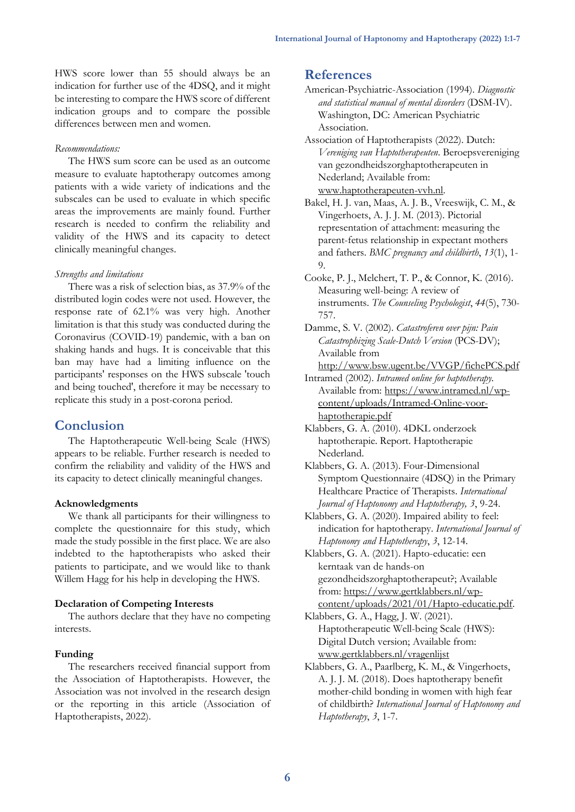HWS score lower than 55 should always be an indication for further use of the 4DSQ, and it might be interesting to compare the HWS score of different indication groups and to compare the possible differences between men and women.

#### *Recommendations:*

The HWS sum score can be used as an outcome measure to evaluate haptotherapy outcomes among patients with a wide variety of indications and the subscales can be used to evaluate in which specific areas the improvements are mainly found. Further research is needed to confirm the reliability and validity of the HWS and its capacity to detect clinically meaningful changes.

#### *Strengths and limitations*

There was a risk of selection bias, as 37.9% of the distributed login codes were not used. However, the response rate of 62.1% was very high. Another limitation is that this study was conducted during the Coronavirus (COVID-19) pandemic, with a ban on shaking hands and hugs. It is conceivable that this ban may have had a limiting influence on the participants' responses on the HWS subscale 'touch and being touched', therefore it may be necessary to replicate this study in a post-corona period.

### **Conclusion**

The Haptotherapeutic Well-being Scale (HWS) appears to be reliable. Further research is needed to confirm the reliability and validity of the HWS and its capacity to detect clinically meaningful changes.

#### **Acknowledgments**

We thank all participants for their willingness to complete the questionnaire for this study, which made the study possible in the first place. We are also indebted to the haptotherapists who asked their patients to participate, and we would like to thank Willem Hagg for his help in developing the HWS.

### **Declaration of Competing Interests**

The authors declare that they have no competing interests.

#### **Funding**

The researchers received financial support from the Association of Haptotherapists. However, the Association was not involved in the research design or the reporting in this article (Association of Haptotherapists, 2022).

# **References**

American-Psychiatric-Association (1994). *Diagnostic and statistical manual of mental disorders* (DSM-IV). Washington, DC: American Psychiatric Association.

Association of Haptotherapists (2022). Dutch: *Vereniging van Haptotherapeuten*. Beroepsvereniging van gezondheidszorghaptotherapeuten in Nederland; Available from: [www.haptotherapeuten-vvh.nl.](http://www.haptotherapeuten-vvh.nl/)

Bakel, H. J. van, Maas, A. J. B., Vreeswijk, C. M., & Vingerhoets, A. J. J. M. (2013). Pictorial representation of attachment: measuring the parent-fetus relationship in expectant mothers and fathers. *BMC pregnancy and childbirth*, *13*(1), 1-  $\Omega$ 

Cooke, P. J., Melchert, T. P., & Connor, K. (2016). Measuring well-being: A review of instruments. *The Counseling Psychologist*, *44*(5), 730- 757.

Damme, S. V. (2002). *Catastroferen over pijn: Pain Catastrophizing Scale-Dutch Version* (PCS-DV); Available from

<http://www.bsw.ugent.be/VVGP/fichePCS.pdf>

Intramed (2002). *Intramed online for haptotherapy.*  Available from: [https://www.intramed.nl/wp](https://www.intramed.nl/wp-content/uploads/Intramed-Online-voor-haptotherapie.pdf)[content/uploads/Intramed-Online-voor](https://www.intramed.nl/wp-content/uploads/Intramed-Online-voor-haptotherapie.pdf)[haptotherapie.pdf](https://www.intramed.nl/wp-content/uploads/Intramed-Online-voor-haptotherapie.pdf)

Klabbers, G. A. (2010). 4DKL onderzoek haptotherapie. Report. Haptotherapie Nederland.

Klabbers, G. A. (2013). Four-Dimensional Symptom Questionnaire (4DSQ) in the Primary Healthcare Practice of Therapists. *International Journal of Haptonomy and Haptotherapy, 3*, 9-24.

Klabbers, G. A. (2020). Impaired ability to feel: indication for haptotherapy. *International Journal of Haptonomy and Haptotherapy*, *3*, 12-14.

Klabbers, G. A. (2021). Hapto-educatie: een kerntaak van de hands-on gezondheidszorghaptotherapeut?; Available from: [https://www.gertklabbers.nl/wp](https://www.gertklabbers.nl/wp-content/uploads/2021/01/Hapto-educatie.pdf)[content/uploads/2021/01/Hapto-educatie.pdf.](https://www.gertklabbers.nl/wp-content/uploads/2021/01/Hapto-educatie.pdf)

Klabbers, G. A., Hagg, J. W. (2021). Haptotherapeutic Well-being Scale (HWS): Digital Dutch version; Available from: [www.gertklabbers.nl/vragenlijst](http://www.gertklabbers.nl/vragenlijst)

Klabbers, G. A., Paarlberg, K. M., & Vingerhoets, A. J. J. M. (2018). Does haptotherapy benefit mother-child bonding in women with high fear of childbirth? *International Journal of Haptonomy and Haptotherapy*, *3*, 1-7.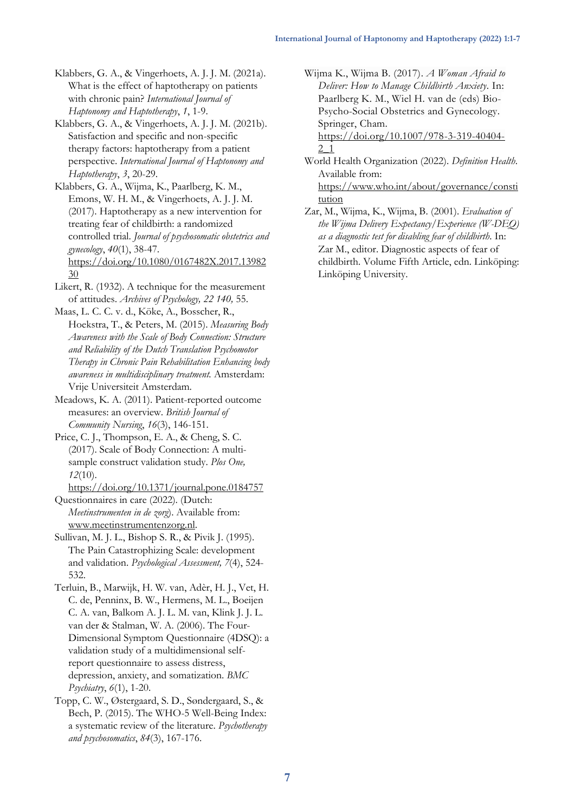Klabbers, G. A., & Vingerhoets, A. J. J. M. (2021a). What is the effect of haptotherapy on patients with chronic pain? *International Journal of Haptonomy and Haptotherapy*, *1*, 1-9.

Klabbers, G. A., & Vingerhoets, A. J. J. M. (2021b). Satisfaction and specific and non-specific therapy factors: haptotherapy from a patient perspective. *International Journal of Haptonomy and Haptotherapy*, *3*, 20-29.

Klabbers, G. A., Wijma, K., Paarlberg, K. M., Emons, W. H. M., & Vingerhoets, A. J. J. M. (2017). Haptotherapy as a new intervention for treating fear of childbirth: a randomized controlled trial. *Journal of psychosomatic obstetrics and gynecology*, *40*(1), 38-47. [https://doi.org/10.1080/0167482X.2017.13982](https://doi.org/10.1080/0167482X.2017.1398230) [30](https://doi.org/10.1080/0167482X.2017.1398230)

Likert, R. (1932). A technique for the measurement of attitudes. *Archives of Psychology, 22 140,* 55.

Maas, L. C. C. v. d., Köke, A., Bosscher, R., Hoekstra, T., & Peters, M. (2015). *Measuring Body Awareness with the Scale of Body Connection: Structure and Reliability of the Dutch Translation Psychomotor Therapy in Chronic Pain Rehabilitation Enhancing body awareness in multidisciplinary treatment.* Amsterdam: Vrije Universiteit Amsterdam.

Meadows, K. A. (2011). Patient-reported outcome measures: an overview. *British Journal of Community Nursing*, *16*(3), 146-151.

Price, C. J., Thompson, E. A., & Cheng, S. C. (2017). Scale of Body Connection: A multisample construct validation study. *Plos One, 12*(10).

<https://doi.org/10.1371/journal.pone.0184757> Questionnaires in care (2022). (Dutch: *Meetinstrumenten in de zorg*). Available from: [www.meetinstrumentenzorg.nl.](http://www.meetinstrumentenzorg.nl/)

Sullivan, M. J. L., Bishop S. R., & Pivik J. (1995). The Pain Catastrophizing Scale: development and validation. *Psychological Assessment, 7*(4), 524- 532.

Terluin, B., Marwijk, H. W. van, Adèr, H. J., Vet, H. C. de, Penninx, B. W., Hermens, M. L., Boeijen C. A. van, Balkom A. J. L. M. van, Klink J. J. L. van der & Stalman, W. A. (2006). The Four-Dimensional Symptom Questionnaire (4DSQ): a validation study of a multidimensional selfreport questionnaire to assess distress, depression, anxiety, and somatization. *BMC Psychiatry*, *6*(1), 1-20.

Topp, C. W., Østergaard, S. D., Søndergaard, S., & Bech, P. (2015). The WHO-5 Well-Being Index: a systematic review of the literature. *Psychotherapy and psychosomatics*, *84*(3), 167-176.

Wijma K., Wijma B. (2017). *A Woman Afraid to Deliver: How to Manage Childbirth Anxiety*. In: Paarlberg K. M., Wiel H. van de (eds) Bio-Psycho-Social Obstetrics and Gynecology. Springer, Cham.

[https://doi.org/10.1007/978-3-319-40404-](https://doi.org/10.1007/978-3-319-40404-2_1) [2\\_1](https://doi.org/10.1007/978-3-319-40404-2_1)

World Health Organization (2022). *Definition Health*. Available from: [https://www.who.int/about/governance/consti](https://www.who.int/about/governance/constitution)

[tution](https://www.who.int/about/governance/constitution) Zar, M., Wijma, K., Wijma, B. (2001). *Evaluation of the Wijma Delivery Expectancy/Experience (W-DEQ)* 

*as a diagnostic test for disabling fear of childbirth*. In: Zar M., editor. Diagnostic aspects of fear of childbirth. Volume Fifth Article, edn. Linköping: Linköping University.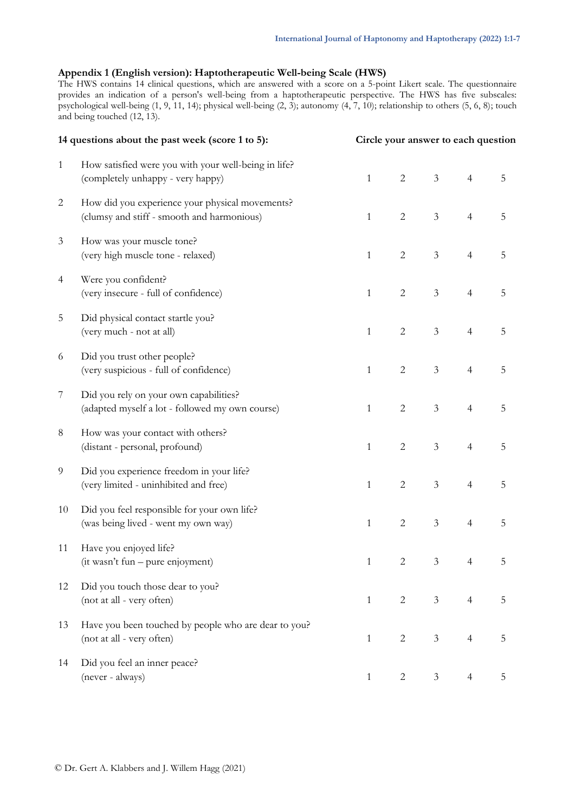### **Appendix 1 (English version): Haptotherapeutic Well-being Scale (HWS)**

The HWS contains 14 clinical questions, which are answered with a score on a 5-point Likert scale. The questionnaire provides an indication of a person's well-being from a haptotherapeutic perspective. The HWS has five subscales: psychological well-being (1, 9, 11, 14); physical well-being (2, 3); autonomy (4, 7, 10); relationship to others (5, 6, 8); touch and being touched (12, 13).

|                | 14 questions about the past week (score 1 to 5):                                              | Circle your answer to each question |                |                |                |             |  |  |
|----------------|-----------------------------------------------------------------------------------------------|-------------------------------------|----------------|----------------|----------------|-------------|--|--|
| $\mathbf{1}$   | How satisfied were you with your well-being in life?<br>(completely unhappy - very happy)     | $\mathbf{1}$                        | $\sqrt{2}$     | $\mathfrak{Z}$ | $\overline{4}$ | 5           |  |  |
| $\overline{c}$ | How did you experience your physical movements?<br>(clumsy and stiff - smooth and harmonious) | $\mathbf{1}$                        | $\mathbf{2}$   | $\mathfrak{Z}$ | $\overline{4}$ | $\mathbf 5$ |  |  |
| $\mathfrak{Z}$ | How was your muscle tone?<br>(very high muscle tone - relaxed)                                | $\mathbf{1}$                        | $\overline{2}$ | $\mathfrak{Z}$ | $\overline{4}$ | 5           |  |  |
| 4              | Were you confident?<br>(very insecure - full of confidence)                                   | $\mathbf{1}$                        | $\overline{2}$ | $\mathfrak{Z}$ | $\overline{4}$ | 5           |  |  |
| 5              | Did physical contact startle you?<br>(very much - not at all)                                 | $\mathbf{1}$                        | $\mathbf{2}$   | $\mathfrak{Z}$ | $\overline{4}$ | $\mathbf 5$ |  |  |
| 6              | Did you trust other people?<br>(very suspicious - full of confidence)                         | $\mathbf{1}$                        | $\overline{2}$ | $\mathfrak{Z}$ | $\overline{4}$ | $\mathbf 5$ |  |  |
| $\overline{7}$ | Did you rely on your own capabilities?<br>(adapted myself a lot - followed my own course)     | $\mathbf{1}$                        | $\mathbf{2}$   | $\mathfrak{Z}$ | $\overline{4}$ | 5           |  |  |
| $\,8\,$        | How was your contact with others?<br>(distant - personal, profound)                           | $\mathbf{1}$                        | $\overline{c}$ | $\mathfrak{Z}$ | $\overline{4}$ | $\mathbf 5$ |  |  |
| 9              | Did you experience freedom in your life?<br>(very limited - uninhibited and free)             | $\mathbf{1}$                        | $\mathbf{2}$   | $\mathfrak{Z}$ | $\overline{4}$ | 5           |  |  |
| 10             | Did you feel responsible for your own life?<br>(was being lived - went my own way)            | $\mathbf{1}$                        | $\sqrt{2}$     | $\mathfrak{Z}$ | $\overline{4}$ | $\mathbf 5$ |  |  |
| 11             | Have you enjoyed life?<br>(it wasn't fun – pure enjoyment)                                    | $\mathbf{1}$                        | $\sqrt{2}$     | $\mathfrak{Z}$ | $\overline{4}$ | 5           |  |  |
| 12             | Did you touch those dear to you?<br>(not at all - very often)                                 | $\mathbf{1}$                        | $\overline{2}$ | $\mathfrak{Z}$ | $\overline{4}$ | 5           |  |  |
| 13             | Have you been touched by people who are dear to you?<br>(not at all - very often)             | $\mathbf{1}$                        | $\mathbf{2}$   | $\mathfrak{Z}$ | $\overline{4}$ | 5           |  |  |
| 14             | Did you feel an inner peace?<br>(never - always)                                              | $\mathbf{1}$                        | 2              | 3              | 4              | 5           |  |  |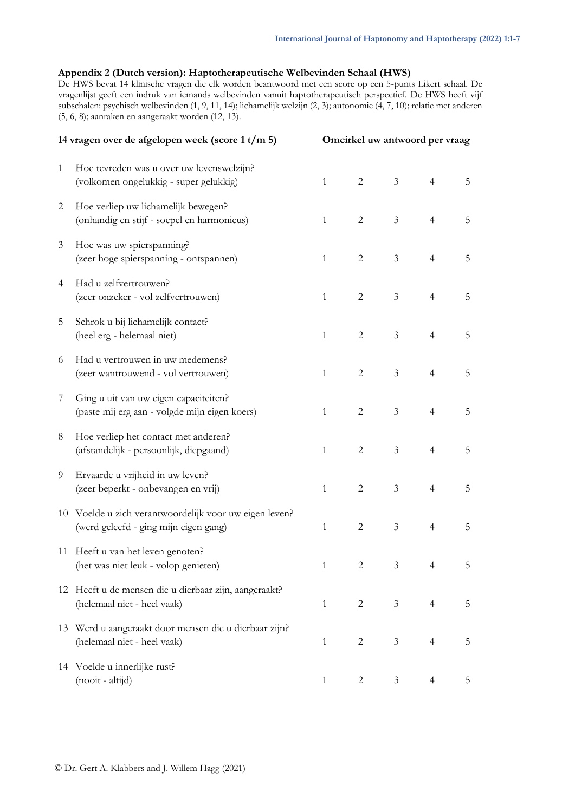### **Appendix 2 (Dutch version): Haptotherapeutische Welbevinden Schaal (HWS)**

De HWS bevat 14 klinische vragen die elk worden beantwoord met een score op een 5-punts Likert schaal. De vragenlijst geeft een indruk van iemands welbevinden vanuit haptotherapeutisch perspectief. De HWS heeft vijf subschalen: psychisch welbevinden (1, 9, 11, 14); lichamelijk welzijn (2, 3); autonomie (4, 7, 10); relatie met anderen (5, 6, 8); aanraken en aangeraakt worden (12, 13).

|                | 14 vragen over de afgelopen week (score 1 t/m 5)                                             |              | Omcirkel uw antwoord per vraag |                |                |   |  |  |
|----------------|----------------------------------------------------------------------------------------------|--------------|--------------------------------|----------------|----------------|---|--|--|
| $\mathbf{1}$   | Hoe tevreden was u over uw levenswelzijn?<br>(volkomen ongelukkig - super gelukkig)          | $\mathbf{1}$ | 2                              | 3 <sup>7</sup> | $\overline{4}$ | 5 |  |  |
| 2              | Hoe verliep uw lichamelijk bewegen?<br>(onhandig en stijf - soepel en harmonieus)            | $\mathbf{1}$ | $\overline{2}$                 | $\mathfrak{Z}$ | $\overline{4}$ | 5 |  |  |
| $\mathfrak{Z}$ | Hoe was uw spierspanning?<br>(zeer hoge spierspanning - ontspannen)                          | $\mathbf{1}$ | $\overline{2}$                 | $\mathfrak{Z}$ | $\overline{4}$ | 5 |  |  |
| 4              | Had u zelfvertrouwen?<br>(zeer onzeker - vol zelfvertrouwen)                                 | $\mathbf{1}$ | $\overline{2}$                 | $\mathfrak{Z}$ | $\overline{4}$ | 5 |  |  |
| 5              | Schrok u bij lichamelijk contact?<br>(heel erg - helemaal niet)                              | $\mathbf{1}$ | $\overline{2}$                 | $\mathfrak{Z}$ | $\overline{4}$ | 5 |  |  |
| 6              | Had u vertrouwen in uw medemens?<br>(zeer wantrouwend - vol vertrouwen)                      | $\mathbf{1}$ | $\overline{c}$                 | $\mathfrak{Z}$ | $\overline{4}$ | 5 |  |  |
| 7              | Ging u uit van uw eigen capaciteiten?<br>(paste mij erg aan - volgde mijn eigen koers)       | $\mathbf{1}$ | $\overline{2}$                 | $\mathfrak{Z}$ | $\overline{4}$ | 5 |  |  |
| 8              | Hoe verliep het contact met anderen?<br>(afstandelijk - persoonlijk, diepgaand)              | $\mathbf{1}$ | $\overline{c}$                 | $\mathfrak{Z}$ | $\overline{4}$ | 5 |  |  |
| 9              | Ervaarde u vrijheid in uw leven?<br>(zeer beperkt - onbevangen en vrij)                      | $\mathbf{1}$ | $\overline{2}$                 | 3 <sup>7</sup> | $\overline{4}$ | 5 |  |  |
| 10             | Voelde u zich verantwoordelijk voor uw eigen leven?<br>(werd geleefd - ging mijn eigen gang) | $\mathbf{1}$ | $\overline{c}$                 | $\mathfrak{Z}$ | $\overline{4}$ | 5 |  |  |
|                | 11 Heeft u van het leven genoten?<br>(het was niet leuk - volop genieten)                    | $\mathbf{1}$ | $\overline{2}$                 | 3              | $\overline{4}$ | 5 |  |  |
|                | 12 Heeft u de mensen die u dierbaar zijn, aangeraakt?<br>(helemaal niet - heel vaak)         | $\mathbf{1}$ | $\overline{2}$                 | 3 <sup>7</sup> | $\overline{4}$ | 5 |  |  |
| 13             | Werd u aangeraakt door mensen die u dierbaar zijn?<br>(helemaal niet - heel vaak)            | $\mathbf{1}$ | $\mathbf{2}$                   | 3              | 4              | 5 |  |  |
|                | 14 Voelde u innerlijke rust?<br>(nooit - altijd)                                             | $\mathbf{1}$ | 2                              | 3              | 4              | 5 |  |  |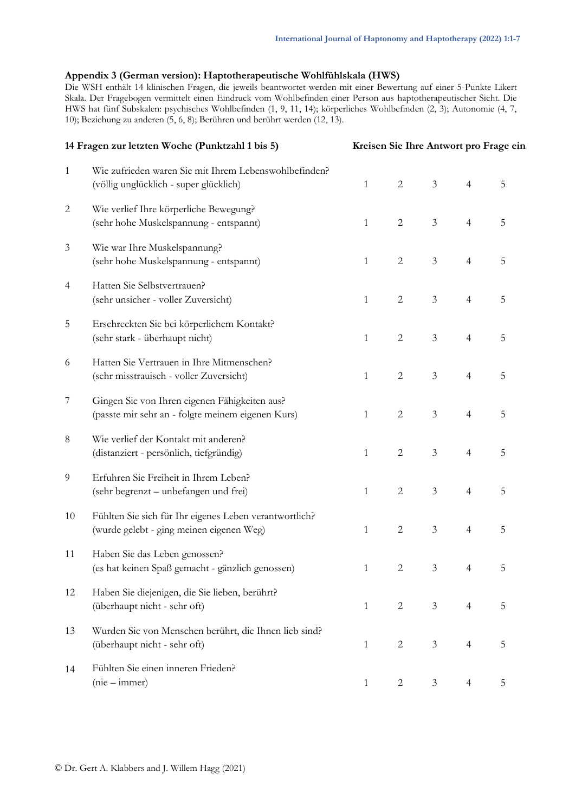### **Appendix 3 (German version): Haptotherapeutische Wohlfühlskala (HWS)**

Die WSH enthält 14 klinischen Fragen, die jeweils beantwortet werden mit einer Bewertung auf einer 5-Punkte Likert Skala. Der Fragebogen vermittelt einen Eindruck vom Wohlbefinden einer Person aus haptotherapeutischer Sicht. Die HWS hat fünf Subskalen: psychisches Wohlbefinden (1, 9, 11, 14); körperliches Wohlbefinden (2, 3); Autonomie (4, 7, 10); Beziehung zu anderen (5, 6, 8); Berühren und berührt werden (12, 13).

|                | 14 Fragen zur letzten Woche (Punktzahl 1 bis 5)                                                    |              | Kreisen Sie Ihre Antwort pro Frage ein |                |                |                |  |  |  |
|----------------|----------------------------------------------------------------------------------------------------|--------------|----------------------------------------|----------------|----------------|----------------|--|--|--|
| $\mathbf{1}$   | Wie zufrieden waren Sie mit Ihrem Lebenswohlbefinden?<br>(völlig unglücklich - super glücklich)    | $\mathbf{1}$ | $\mathbf{2}$                           | $\mathfrak{Z}$ | $\overline{4}$ | $\overline{5}$ |  |  |  |
| $\overline{2}$ | Wie verlief Ihre körperliche Bewegung?<br>(sehr hohe Muskelspannung - entspannt)                   | $\mathbf{1}$ | $\overline{2}$                         | $\mathfrak{Z}$ | $\overline{4}$ | $\overline{5}$ |  |  |  |
| $\mathfrak{Z}$ | Wie war Ihre Muskelspannung?<br>(sehr hohe Muskelspannung - entspannt)                             | $\mathbf{1}$ | $\overline{2}$                         | $\mathfrak{Z}$ | $\overline{4}$ | 5              |  |  |  |
| 4              | Hatten Sie Selbstvertrauen?<br>(sehr unsicher - voller Zuversicht)                                 | $\mathbf{1}$ | $\overline{2}$                         | $\mathfrak{Z}$ | $\overline{4}$ | $\overline{5}$ |  |  |  |
| 5              | Erschreckten Sie bei körperlichem Kontakt?<br>(sehr stark - überhaupt nicht)                       | $\mathbf{1}$ | $\overline{2}$                         | $\mathfrak{Z}$ | $\overline{4}$ | 5              |  |  |  |
| 6              | Hatten Sie Vertrauen in Ihre Mitmenschen?<br>(sehr misstrauisch - voller Zuversicht)               | $\mathbf{1}$ | $\overline{2}$                         | $\mathfrak{Z}$ | $\overline{4}$ | 5              |  |  |  |
| 7              | Gingen Sie von Ihren eigenen Fähigkeiten aus?<br>(passte mir sehr an - folgte meinem eigenen Kurs) | $\mathbf{1}$ | $\overline{2}$                         | $\mathfrak{Z}$ | $\overline{4}$ | 5              |  |  |  |
| 8              | Wie verlief der Kontakt mit anderen?<br>(distanziert - persönlich, tiefgründig)                    | $\mathbf{1}$ | $\overline{2}$                         | $\mathfrak{Z}$ | $\overline{4}$ | 5              |  |  |  |
| 9              | Erfuhren Sie Freiheit in Ihrem Leben?<br>(sehr begrenzt - unbefangen und frei)                     | $\mathbf{1}$ | $\mathbf{2}$                           | $\mathfrak{Z}$ | $\overline{4}$ | $\overline{5}$ |  |  |  |
| 10             | Fühlten Sie sich für Ihr eigenes Leben verantwortlich?<br>(wurde gelebt - ging meinen eigenen Weg) | $\mathbf{1}$ | $\overline{2}$                         | $\mathfrak{Z}$ | $\overline{4}$ | $\overline{5}$ |  |  |  |
| 11             | Haben Sie das Leben genossen?<br>(es hat keinen Spaß gemacht - gänzlich genossen)                  | $\mathbf{1}$ | 2                                      | $\mathfrak{Z}$ | 4              | 5              |  |  |  |
| 12             | Haben Sie diejenigen, die Sie lieben, berührt?<br>(überhaupt nicht - sehr oft)                     | $\mathbf{1}$ | 2                                      | $\mathfrak{Z}$ | $\overline{4}$ | 5              |  |  |  |
| 13             | Wurden Sie von Menschen berührt, die Ihnen lieb sind?<br>(überhaupt nicht - sehr oft)              | $\mathbf{1}$ | 2                                      | $\mathfrak{Z}$ | $\overline{4}$ | 5              |  |  |  |
| 14             | Fühlten Sie einen inneren Frieden?<br>$(nie - immer)$                                              | 1            | 2                                      | $\mathfrak{Z}$ | $\overline{4}$ | 5              |  |  |  |